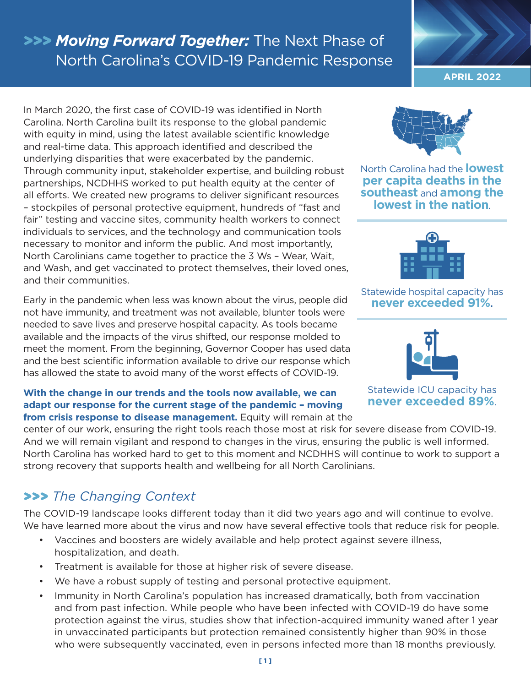# **>>>** *Moving Forward Together:* The Next Phase of North Carolina's COVID-19 Pandemic Response

In March 2020, the first case of COVID-19 was identified in North Carolina. North Carolina built its response to the global pandemic with equity in mind, using the latest available scientific knowledge and real-time data. This approach identified and described the underlying disparities that were exacerbated by the pandemic. Through community input, stakeholder expertise, and building robust partnerships, NCDHHS worked to put health equity at the center of all efforts. We created new programs to deliver significant resources – stockpiles of personal protective equipment, hundreds of "fast and fair" testing and vaccine sites, community health workers to connect individuals to services, and the technology and communication tools necessary to monitor and inform the public. And most importantly, North Carolinians came together to practice the 3 Ws – Wear, Wait, and Wash, and get vaccinated to protect themselves, their loved ones, and their communities.

Early in the pandemic when less was known about the virus, people did not have immunity, and treatment was not available, blunter tools were needed to save lives and preserve hospital capacity. As tools became available and the impacts of the virus shifted, our response molded to meet the moment. From the beginning, Governor Cooper has used data and the best scientific information available to drive our response which has allowed the state to avoid many of the worst effects of COVID-19.

### **With the change in our trends and the tools now available, we can adapt our response for the current stage of the pandemic – moving**

**from crisis response to disease management.** Equity will remain at the

center of our work, ensuring the right tools reach those most at risk for severe disease from COVID-19. And we will remain vigilant and respond to changes in the virus, ensuring the public is well informed. North Carolina has worked hard to get to this moment and NCDHHS will continue to work to support a strong recovery that supports health and wellbeing for all North Carolinians.

## **>>>** *The Changing Context*

The COVID-19 landscape looks different today than it did two years ago and will continue to evolve. We have learned more about the virus and now have several effective tools that reduce risk for people.

- Vaccines and boosters are widely available and help protect against severe illness, hospitalization, and death.
- Treatment is available for those at higher risk of severe disease.
- We have a robust supply of testing and personal protective equipment.
- Immunity in North Carolina's population has increased dramatically, both from vaccination and from past infection. While people who have been infected with COVID-19 do have some protection against the virus, studies show that infection-acquired immunity waned after 1 year in unvaccinated participants but protection remained consistently higher than 90% in those who were subsequently vaccinated, even in persons infected more than 18 months previously.

**APRIL 2022**



North Carolina had the **lowest per capita deaths in the southeast** and **among the lowest in the nation**.



#### Statewide hospital capacity has **never exceeded 91%.**



Statewide ICU capacity has **never exceeded 89%**.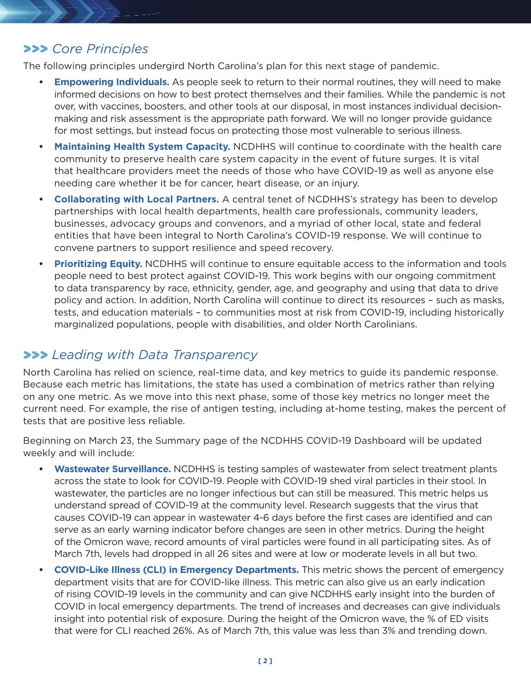#### **>>>** *Core Principles*

The following principles undergird North Carolina's plan for this next stage of pandemic.

- **Empowering Individuals.** As people seek to return to their normal routines, they will need to make informed decisions on how to best protect themselves and their families. While the pandemic is not over, with vaccines, boosters, and other tools at our disposal, in most instances individual decisionmaking and risk assessment is the appropriate path forward. We will no longer provide guidance for most settings, but instead focus on protecting those most vulnerable to serious illness.
- **Maintaining Health System Capacity.** NCDHHS will continue to coordinate with the health care community to preserve health care system capacity in the event of future surges. It is vital that healthcare providers meet the needs of those who have COVID-19 as well as anyone else needing care whether it be for cancer, heart disease, or an injury.
- **Collaborating with Local Partners.** A central tenet of NCDHHS's strategy has been to develop partnerships with local health departments, health care professionals, community leaders, businesses, advocacy groups and convenors, and a myriad of other local, state and federal entities that have been integral to North Carolina's COVID-19 response. We will continue to convene partners to support resilience and speed recovery.
- **Prioritizing Equity.** NCDHHS will continue to ensure equitable access to the information and tools people need to best protect against COVID-19. This work begins with our ongoing commitment to data transparency by race, ethnicity, gender, age, and geography and using that data to drive policy and action. In addition, North Carolina will continue to direct its resources – such as masks, tests, and education materials – to communities most at risk from COVID-19, including historically marginalized populations, people with disabilities, and older North Carolinians.

### **>>>** *Leading with Data Transparency*

North Carolina has relied on science, real-time data, and key metrics to guide its pandemic response. Because each metric has limitations, the state has used a combination of metrics rather than relying on any one metric. As we move into this next phase, some of those key metrics no longer meet the current need. For example, the rise of antigen testing, including at-home testing, makes the percent of tests that are positive less reliable.

Beginning on March 23, the Summary page of the NCDHHS COVID-19 Dashboard will be updated weekly and will include:

- **• Wastewater Surveillance.** NCDHHS is testing samples of wastewater from select treatment plants across the state to look for COVID-19. People with COVID-19 shed viral particles in their stool. In wastewater, the particles are no longer infectious but can still be measured. This metric helps us understand spread of COVID-19 at the community level. Research suggests that the virus that causes COVID-19 can appear in wastewater 4-6 days before the first cases are identified and can serve as an early warning indicator before changes are seen in other metrics. During the height of the Omicron wave, record amounts of viral particles were found in all participating sites. As of March 7th, levels had dropped in all 26 sites and were at low or moderate levels in all but two.
- **COVID-Like Illness (CLI) in Emergency Departments.** This metric shows the percent of emergency department visits that are for COVID-like illness. This metric can also give us an early indication of rising COVID-19 levels in the community and can give NCDHHS early insight into the burden of COVID in local emergency departments. The trend of increases and decreases can give individuals insight into potential risk of exposure. During the height of the Omicron wave, the % of ED visits that were for CLI reached 26%. As of March 7th, this value was less than 3% and trending down.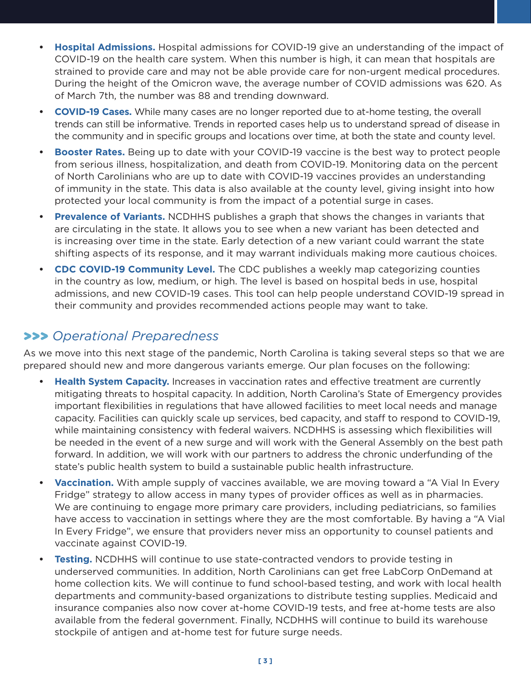- Hospital Admissions. Hospital admissions for COVID-19 give an understanding of the impact of  **•** COVID-19 on the health care system. When this number is high, it can mean that hospitals are strained to provide care and may not be able provide care for non-urgent medical procedures. During the height of the Omicron wave, the average number of COVID admissions was 620. As of March 7th, the number was 88 and trending downward.
- **COVID-19 Cases.** While many cases are no longer reported due to at-home testing, the overall  trends can still be informative. Trends in reported cases help us to understand spread of disease in the community and in specific groups and locations over time, at both the state and county level.
- Booster Rates. Being up to date with your COVID-19 vaccine is the best way to protect people from serious illness, hospitalization, and death from COVID-19. Monitoring data on the percent of North Carolinians who are up to date with COVID-19 vaccines provides an understanding of immunity in the state. This data is also available at the county level, giving insight into how protected your local community is from the impact of a potential surge in cases.
- **Prevalence of Variants.** NCDHHS publishes a graph that shows the changes in variants that  $\bullet$ are circulating in the state. It allows you to see when a new variant has been detected and is increasing over time in the state. Early detection of a new variant could warrant the state shifting aspects of its response, and it may warrant individuals making more cautious choices.
- **CDC COVID-19 Community Level.** The CDC publishes a weekly map categorizing counties  $\bullet$ in the country as low, medium, or high. The level is based on hospital beds in use, hospital admissions, and new COVID-19 cases. This tool can help people understand COVID-19 spread in their community and provides recommended actions people may want to take.

### **>>>** Operational Preparedness

As we move into this next stage of the pandemic, North Carolina is taking several steps so that we are prepared should new and more dangerous variants emerge. Our plan focuses on the following:

- Health System Capacity. Increases in vaccination rates and effective treatment are currently mitigating threats to hospital capacity. In addition, North Carolina's State of Emergency provides important flexibilities in regulations that have allowed facilities to meet local needs and manage capacity. Facilities can quickly scale up services, bed capacity, and staff to respond to COVID-19, while maintaining consistency with federal waivers. NCDHHS is assessing which flexibilities will be needed in the event of a new surge and will work with the General Assembly on the best path forward. In addition, we will work with our partners to address the chronic underfunding of the state's public health system to build a sustainable public health infrastructure.
- **Vaccination.** With ample supply of vaccines available, we are moving toward a "A Vial In Every  Fridge" strategy to allow access in many types of provider offices as well as in pharmacies. We are continuing to engage more primary care providers, including pediatricians, so families have access to vaccination in settings where they are the most comfortable. By having a "A Vial In Every Fridge", we ensure that providers never miss an opportunity to counsel patients and vaccinate against COVID-19.
- Testing. NCDHHS will continue to use state-contracted vendors to provide testing in underserved communities. In addition, North Carolinians can get free LabCorp OnDemand at home collection kits. We will continue to fund school-based testing, and work with local health departments and community-based organizations to distribute testing supplies. Medicaid and insurance companies also now cover at-home COVID-19 tests, and free at-home tests are also available from the federal government. Finally, NCDHHS will continue to build its warehouse stockpile of antigen and at-home test for future surge needs.